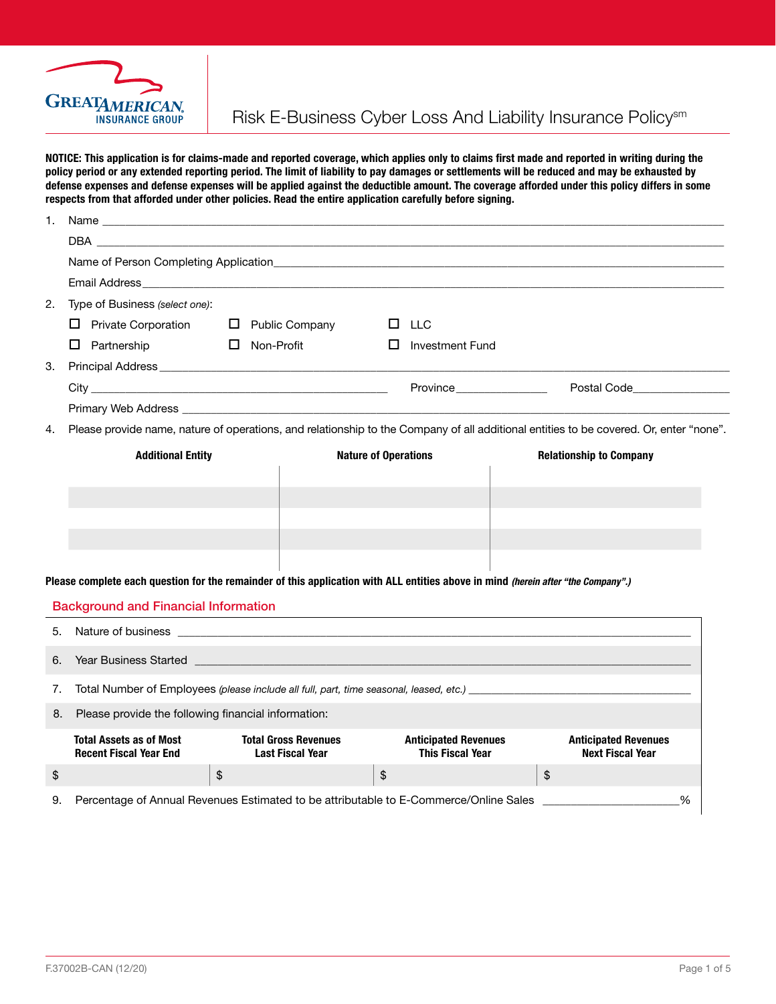

NOTICE: This application is for claims-made and reported coverage, which applies only to claims first made and reported in writing during the policy period or any extended reporting period. The limit of liability to pay damages or settlements will be reduced and may be exhausted by defense expenses and defense expenses will be applied against the deductible amount. The coverage afforded under this policy differs in some respects from that afforded under other policies. Read the entire application carefully before signing.

|    | Name of Person Completing Application <b>Example 2018</b> 2019 12:38:49 The Second State of Person Completing Application |                                                                                                                                   |                             |                                                        |                                                                                                                                                                                                                                     |  |  |
|----|---------------------------------------------------------------------------------------------------------------------------|-----------------------------------------------------------------------------------------------------------------------------------|-----------------------------|--------------------------------------------------------|-------------------------------------------------------------------------------------------------------------------------------------------------------------------------------------------------------------------------------------|--|--|
|    |                                                                                                                           |                                                                                                                                   |                             |                                                        |                                                                                                                                                                                                                                     |  |  |
|    |                                                                                                                           |                                                                                                                                   |                             |                                                        | Email Address <b>Example 2018</b> The Contract of the Contract of the Contract of the Contract of the Contract of the Contract of the Contract of the Contract of the Contract of the Contract of the Contract of the Contract of t |  |  |
| 2. | Type of Business (select one):                                                                                            |                                                                                                                                   |                             |                                                        |                                                                                                                                                                                                                                     |  |  |
|    | $\Box$ Private Corporation                                                                                                | $\Box$ Public Company                                                                                                             | □                           | <b>LLC</b>                                             |                                                                                                                                                                                                                                     |  |  |
|    | $\Box$ Partnership                                                                                                        | Non-Profit<br>ப                                                                                                                   | $\Box$                      | <b>Investment Fund</b>                                 |                                                                                                                                                                                                                                     |  |  |
| 3. |                                                                                                                           |                                                                                                                                   |                             |                                                        |                                                                                                                                                                                                                                     |  |  |
|    |                                                                                                                           |                                                                                                                                   |                             |                                                        | Province Postal Code Postal Code                                                                                                                                                                                                    |  |  |
|    |                                                                                                                           |                                                                                                                                   |                             |                                                        |                                                                                                                                                                                                                                     |  |  |
| 4. |                                                                                                                           |                                                                                                                                   |                             |                                                        | Please provide name, nature of operations, and relationship to the Company of all additional entities to be covered. Or, enter "none".                                                                                              |  |  |
|    | <b>Additional Entity</b>                                                                                                  |                                                                                                                                   | <b>Nature of Operations</b> |                                                        | <b>Relationship to Company</b>                                                                                                                                                                                                      |  |  |
|    |                                                                                                                           |                                                                                                                                   |                             |                                                        |                                                                                                                                                                                                                                     |  |  |
|    |                                                                                                                           |                                                                                                                                   |                             |                                                        |                                                                                                                                                                                                                                     |  |  |
|    |                                                                                                                           |                                                                                                                                   |                             |                                                        |                                                                                                                                                                                                                                     |  |  |
|    |                                                                                                                           |                                                                                                                                   |                             |                                                        |                                                                                                                                                                                                                                     |  |  |
|    |                                                                                                                           |                                                                                                                                   |                             |                                                        |                                                                                                                                                                                                                                     |  |  |
|    |                                                                                                                           | Please complete each question for the remainder of this application with ALL entities above in mind (herein after "the Company".) |                             |                                                        |                                                                                                                                                                                                                                     |  |  |
|    |                                                                                                                           |                                                                                                                                   |                             |                                                        |                                                                                                                                                                                                                                     |  |  |
|    | <b>Background and Financial Information</b>                                                                               |                                                                                                                                   |                             |                                                        |                                                                                                                                                                                                                                     |  |  |
| 5. |                                                                                                                           |                                                                                                                                   |                             |                                                        |                                                                                                                                                                                                                                     |  |  |
|    |                                                                                                                           |                                                                                                                                   |                             |                                                        |                                                                                                                                                                                                                                     |  |  |
| 6. |                                                                                                                           |                                                                                                                                   |                             |                                                        |                                                                                                                                                                                                                                     |  |  |
| 7. |                                                                                                                           |                                                                                                                                   |                             |                                                        |                                                                                                                                                                                                                                     |  |  |
| 8. | Please provide the following financial information:                                                                       |                                                                                                                                   |                             |                                                        |                                                                                                                                                                                                                                     |  |  |
|    | <b>Total Assets as of Most</b><br><b>Recent Fiscal Year End</b>                                                           | <b>Total Gross Revenues</b><br><b>Last Fiscal Year</b>                                                                            |                             | <b>Anticipated Revenues</b><br><b>This Fiscal Year</b> | <b>Anticipated Revenues</b><br><b>Next Fiscal Year</b>                                                                                                                                                                              |  |  |
| \$ |                                                                                                                           | \$                                                                                                                                | $\$$                        |                                                        | \$                                                                                                                                                                                                                                  |  |  |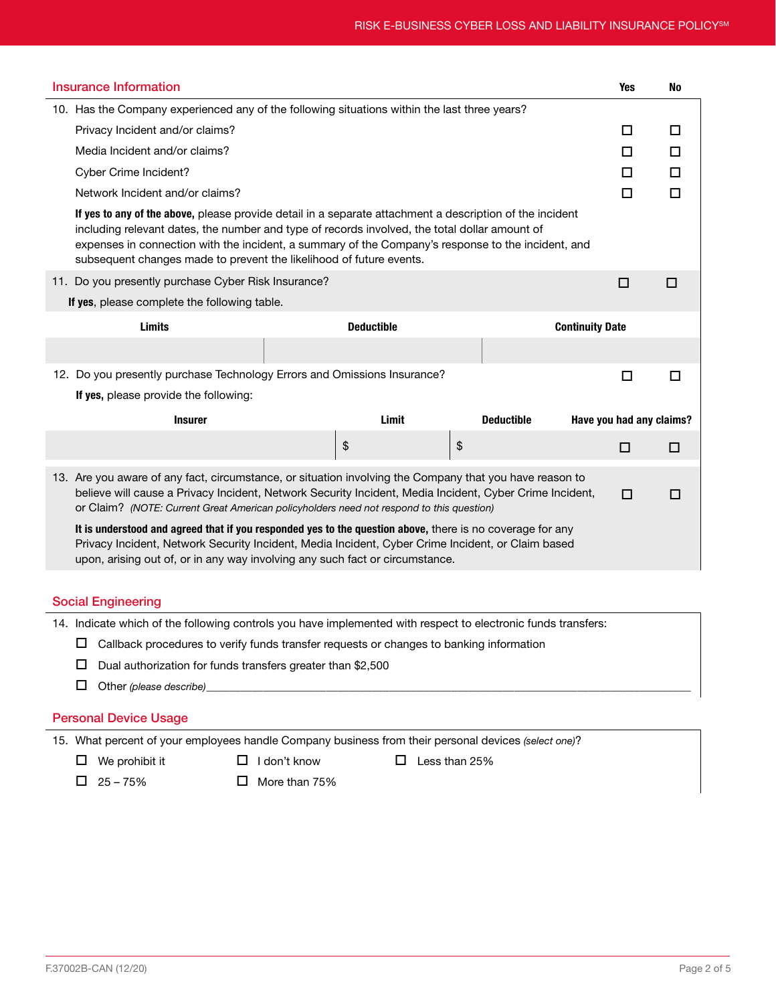| <b>Insurance Information</b>                                                                                                                                                                                                                                                                                                                                                           |                                                                                                                                                                                                                                                                                                |                        | <b>Yes</b>               | No |
|----------------------------------------------------------------------------------------------------------------------------------------------------------------------------------------------------------------------------------------------------------------------------------------------------------------------------------------------------------------------------------------|------------------------------------------------------------------------------------------------------------------------------------------------------------------------------------------------------------------------------------------------------------------------------------------------|------------------------|--------------------------|----|
| 10. Has the Company experienced any of the following situations within the last three years?                                                                                                                                                                                                                                                                                           |                                                                                                                                                                                                                                                                                                |                        |                          |    |
| Privacy Incident and/or claims?                                                                                                                                                                                                                                                                                                                                                        |                                                                                                                                                                                                                                                                                                |                        | □                        | □  |
| Media Incident and/or claims?                                                                                                                                                                                                                                                                                                                                                          |                                                                                                                                                                                                                                                                                                |                        | □                        | П  |
| Cyber Crime Incident?                                                                                                                                                                                                                                                                                                                                                                  |                                                                                                                                                                                                                                                                                                |                        | □                        | □  |
| Network Incident and/or claims?                                                                                                                                                                                                                                                                                                                                                        |                                                                                                                                                                                                                                                                                                |                        | $\Box$                   | П  |
| If yes to any of the above, please provide detail in a separate attachment a description of the incident<br>including relevant dates, the number and type of records involved, the total dollar amount of<br>expenses in connection with the incident, a summary of the Company's response to the incident, and<br>subsequent changes made to prevent the likelihood of future events. |                                                                                                                                                                                                                                                                                                |                        |                          |    |
| 11. Do you presently purchase Cyber Risk Insurance?                                                                                                                                                                                                                                                                                                                                    |                                                                                                                                                                                                                                                                                                |                        | $\Box$                   | □  |
| If yes, please complete the following table.                                                                                                                                                                                                                                                                                                                                           |                                                                                                                                                                                                                                                                                                |                        |                          |    |
| Limits                                                                                                                                                                                                                                                                                                                                                                                 | <b>Deductible</b>                                                                                                                                                                                                                                                                              | <b>Continuity Date</b> |                          |    |
|                                                                                                                                                                                                                                                                                                                                                                                        |                                                                                                                                                                                                                                                                                                |                        |                          |    |
|                                                                                                                                                                                                                                                                                                                                                                                        | 12. Do you presently purchase Technology Errors and Omissions Insurance?                                                                                                                                                                                                                       |                        | □                        | □  |
|                                                                                                                                                                                                                                                                                                                                                                                        |                                                                                                                                                                                                                                                                                                |                        |                          |    |
| If yes, please provide the following:                                                                                                                                                                                                                                                                                                                                                  |                                                                                                                                                                                                                                                                                                |                        |                          |    |
| <b>Insurer</b>                                                                                                                                                                                                                                                                                                                                                                         | Limit                                                                                                                                                                                                                                                                                          | <b>Deductible</b>      |                          |    |
|                                                                                                                                                                                                                                                                                                                                                                                        |                                                                                                                                                                                                                                                                                                |                        | Have you had any claims? |    |
|                                                                                                                                                                                                                                                                                                                                                                                        | \$                                                                                                                                                                                                                                                                                             | \$                     | □                        | □  |
| 13. Are you aware of any fact, circumstance, or situation involving the Company that you have reason to                                                                                                                                                                                                                                                                                | believe will cause a Privacy Incident, Network Security Incident, Media Incident, Cyber Crime Incident,<br>or Claim? (NOTE: Current Great American policyholders need not respond to this question)                                                                                            |                        | □                        | П  |
|                                                                                                                                                                                                                                                                                                                                                                                        | It is understood and agreed that if you responded yes to the question above, there is no coverage for any<br>Privacy Incident, Network Security Incident, Media Incident, Cyber Crime Incident, or Claim based<br>upon, arising out of, or in any way involving any such fact or circumstance. |                        |                          |    |
|                                                                                                                                                                                                                                                                                                                                                                                        |                                                                                                                                                                                                                                                                                                |                        |                          |    |
| <b>Social Engineering</b>                                                                                                                                                                                                                                                                                                                                                              |                                                                                                                                                                                                                                                                                                |                        |                          |    |
| 14. Indicate which of the following controls you have implemented with respect to electronic funds transfers:                                                                                                                                                                                                                                                                          |                                                                                                                                                                                                                                                                                                |                        |                          |    |
| ப                                                                                                                                                                                                                                                                                                                                                                                      | Callback procedures to verify funds transfer requests or changes to banking information                                                                                                                                                                                                        |                        |                          |    |
| ப<br>Dual authorization for funds transfers greater than \$2,500                                                                                                                                                                                                                                                                                                                       |                                                                                                                                                                                                                                                                                                |                        |                          |    |
| □<br>Other (please describe)                                                                                                                                                                                                                                                                                                                                                           |                                                                                                                                                                                                                                                                                                |                        |                          |    |

## Personal Device Usage

15. What percent of your employees handle Company business from their personal devices *(select one)*?

- $\Box$  We prohibit it  $\Box$  I don't know  $\Box$  Less than 25%
	-

- $\Box$  25 75%  $\Box$  More than 75%
	-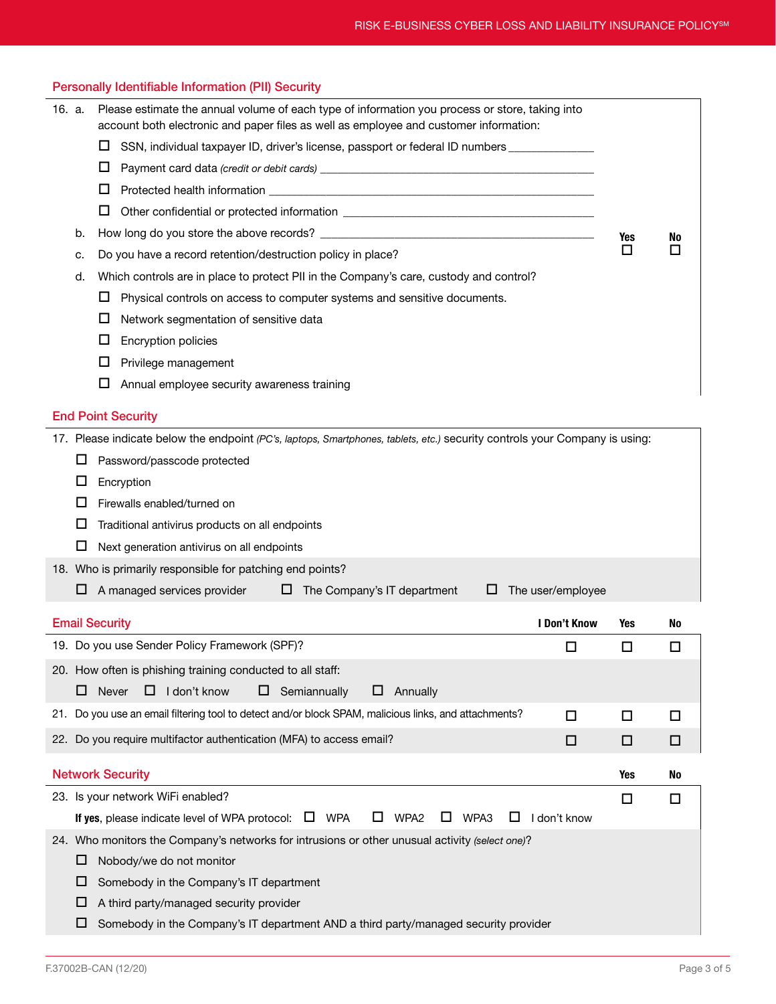| Please estimate the annual volume of each type of information you process or store, taking into<br>16. a.<br>account both electronic and paper files as well as employee and customer information: |     |        |
|----------------------------------------------------------------------------------------------------------------------------------------------------------------------------------------------------|-----|--------|
| □<br>SSN, individual taxpayer ID, driver's license, passport or federal ID numbers _____________                                                                                                   |     |        |
| □                                                                                                                                                                                                  |     |        |
| □                                                                                                                                                                                                  |     |        |
| □                                                                                                                                                                                                  |     |        |
| b.                                                                                                                                                                                                 | Yes | No     |
| Do you have a record retention/destruction policy in place?<br>c.                                                                                                                                  | п   | П      |
| Which controls are in place to protect PII in the Company's care, custody and control?<br>d.                                                                                                       |     |        |
| □<br>Physical controls on access to computer systems and sensitive documents.                                                                                                                      |     |        |
| $\Box$<br>Network segmentation of sensitive data                                                                                                                                                   |     |        |
| □<br>Encryption policies                                                                                                                                                                           |     |        |
| ப<br>Privilege management                                                                                                                                                                          |     |        |
| □<br>Annual employee security awareness training                                                                                                                                                   |     |        |
| <b>End Point Security</b>                                                                                                                                                                          |     |        |
| 17. Please indicate below the endpoint (PC's, laptops, Smartphones, tablets, etc.) security controls your Company is using:                                                                        |     |        |
| Password/passcode protected<br>ப                                                                                                                                                                   |     |        |
| Encryption<br>ப                                                                                                                                                                                    |     |        |
| Firewalls enabled/turned on<br>ப                                                                                                                                                                   |     |        |
| □<br>Traditional antivirus products on all endpoints                                                                                                                                               |     |        |
| ப<br>Next generation antivirus on all endpoints                                                                                                                                                    |     |        |
| 18. Who is primarily responsible for patching end points?                                                                                                                                          |     |        |
| A managed services provider<br>$\Box$ The Company's IT department<br>The user/employee<br>ப<br>ப                                                                                                   |     |        |
| <b>Email Security</b><br>I Don't Know                                                                                                                                                              | Yes | No     |
| 19. Do you use Sender Policy Framework (SPF)?<br>П                                                                                                                                                 | ப   | □      |
| 20. How often is phishing training conducted to all staff:                                                                                                                                         |     |        |
| Never<br>$\Box$ I don't know<br>$\Box$ Semiannually<br>Annually<br>ப<br>ப                                                                                                                          |     |        |
| 21. Do you use an email filtering tool to detect and/or block SPAM, malicious links, and attachments?<br>$\Box$                                                                                    | □   | $\Box$ |
| 22. Do you require multifactor authentication (MFA) to access email?<br>□                                                                                                                          | □   | □      |
| <b>Network Security</b>                                                                                                                                                                            | Yes | No     |
| 23. Is your network WiFi enabled?                                                                                                                                                                  | □   | $\Box$ |
| WPA3<br>If yes, please indicate level of WPA protocol: $\Box$ WPA<br>ப<br>WPA <sub>2</sub><br>$\Box$<br>ப<br>I don't know                                                                          |     |        |
| 24. Who monitors the Company's networks for intrusions or other unusual activity (select one)?                                                                                                     |     |        |
|                                                                                                                                                                                                    |     |        |
| Nobody/we do not monitor<br>⊔                                                                                                                                                                      |     |        |

 $\Box$  A third party/managed security provider

Personally Identifiable Information (PII) Security

 $\square$  Somebody in the Company's IT department AND a third party/managed security provider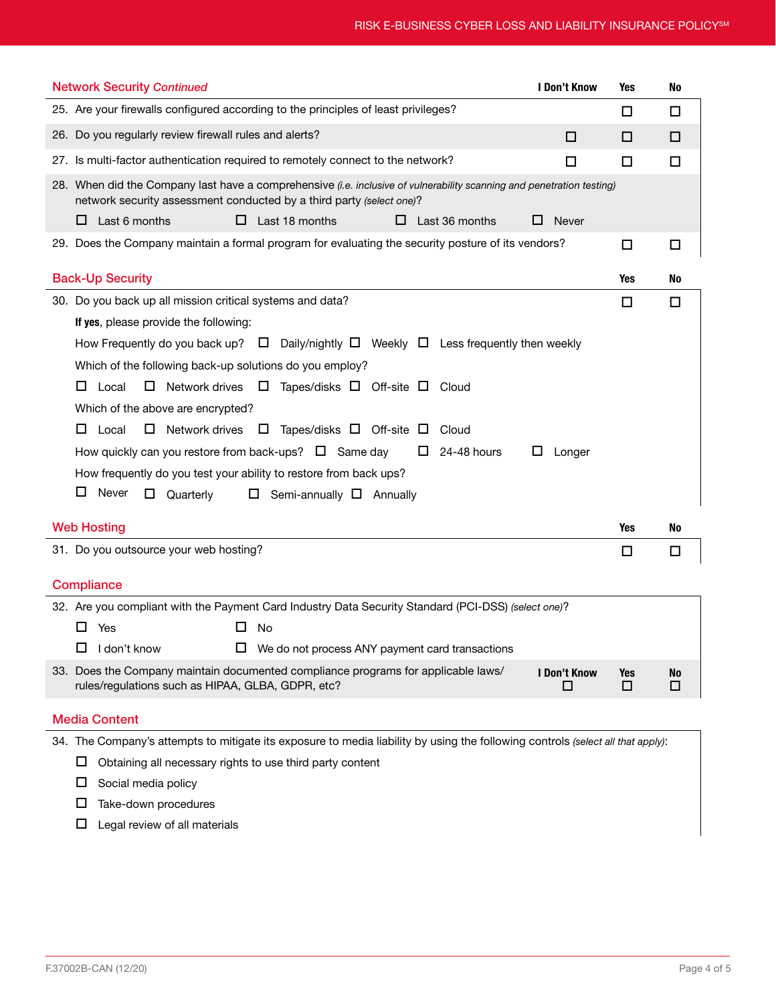| <b>Network Security Continued</b>                                                                                                                                                                                                                                      | I Don't Know      | Yes      | No             |
|------------------------------------------------------------------------------------------------------------------------------------------------------------------------------------------------------------------------------------------------------------------------|-------------------|----------|----------------|
| 25. Are your firewalls configured according to the principles of least privileges?                                                                                                                                                                                     |                   | □        | □              |
| 26. Do you regularly review firewall rules and alerts?                                                                                                                                                                                                                 | □                 | □        | □              |
| 27. Is multi-factor authentication required to remotely connect to the network?                                                                                                                                                                                        | □                 | □        | □              |
| 28. When did the Company last have a comprehensive (i.e. inclusive of vulnerability scanning and penetration testing)<br>network security assessment conducted by a third party (select one)?<br>Last 6 months<br>$\Box$<br>Last 18 months<br>Last 36 months<br>⊔<br>ப | <b>Never</b><br>ப |          |                |
| 29. Does the Company maintain a formal program for evaluating the security posture of its vendors?                                                                                                                                                                     |                   | □        | □              |
|                                                                                                                                                                                                                                                                        |                   |          |                |
| <b>Back-Up Security</b>                                                                                                                                                                                                                                                |                   | Yes      | No             |
| 30. Do you back up all mission critical systems and data?                                                                                                                                                                                                              |                   | □        | □              |
| If yes, please provide the following:                                                                                                                                                                                                                                  |                   |          |                |
| How Frequently do you back up? $\Box$ Daily/nightly $\Box$ Weekly $\Box$ Less frequently then weekly                                                                                                                                                                   |                   |          |                |
| Which of the following back-up solutions do you employ?                                                                                                                                                                                                                |                   |          |                |
| Local<br>□<br>Network drives $\Box$<br>Tapes/disks $\Box$ Off-site $\Box$ Cloud<br>ப                                                                                                                                                                                   |                   |          |                |
| Which of the above are encrypted?                                                                                                                                                                                                                                      |                   |          |                |
| $\Box$ Network drives $\Box$ Tapes/disks $\Box$ Off-site $\Box$<br>Local<br>⊔<br>Cloud                                                                                                                                                                                 |                   |          |                |
| How quickly can you restore from back-ups? $\Box$ Same day<br>24-48 hours<br>ш                                                                                                                                                                                         | Longer<br>Ц       |          |                |
| How frequently do you test your ability to restore from back ups?                                                                                                                                                                                                      |                   |          |                |
| Never<br>ப<br>$\Box$<br>Quarterly<br>Semi-annually $\Box$ Annually<br>$\Box$                                                                                                                                                                                           |                   |          |                |
| <b>Web Hosting</b>                                                                                                                                                                                                                                                     |                   | Yes      | No             |
| 31. Do you outsource your web hosting?                                                                                                                                                                                                                                 |                   | □        | □              |
|                                                                                                                                                                                                                                                                        |                   |          |                |
| Compliance                                                                                                                                                                                                                                                             |                   |          |                |
| 32. Are you compliant with the Payment Card Industry Data Security Standard (PCI-DSS) (select one)?                                                                                                                                                                    |                   |          |                |
| 0<br>Yes<br>No                                                                                                                                                                                                                                                         |                   |          |                |
| $\Box$ I don't know<br>$\Box$ We do not process ANY payment card transactions                                                                                                                                                                                          |                   |          |                |
| 33. Does the Company maintain documented compliance programs for applicable laws/<br>rules/regulations such as HIPAA, GLBA, GDPR, etc?                                                                                                                                 | I Don't Know<br>□ | Yes<br>□ | <b>No</b><br>□ |
| <b>Media Content</b>                                                                                                                                                                                                                                                   |                   |          |                |
| 34. The Company's attempts to mitigate its exposure to media liability by using the following controls (select all that apply):                                                                                                                                        |                   |          |                |
| Obtaining all necessary rights to use third party content<br>ப                                                                                                                                                                                                         |                   |          |                |

 $\square$  Social media policy

 $\square$  Take-down procedures

 $\square$  Legal review of all materials